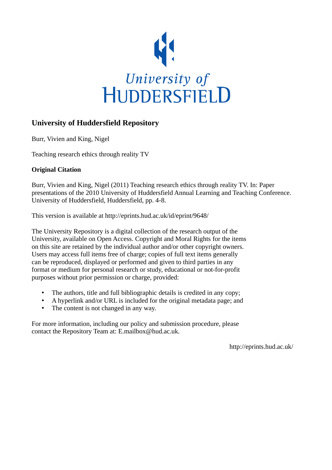

# **University of Huddersfield Repository**

Burr, Vivien and King, Nigel

Teaching research ethics through reality TV

# **Original Citation**

Burr, Vivien and King, Nigel (2011) Teaching research ethics through reality TV. In: Paper presentations of the 2010 University of Huddersfield Annual Learning and Teaching Conference. University of Huddersfield, Huddersfield, pp. 4-8.

This version is available at http://eprints.hud.ac.uk/id/eprint/9648/

The University Repository is a digital collection of the research output of the University, available on Open Access. Copyright and Moral Rights for the items on this site are retained by the individual author and/or other copyright owners. Users may access full items free of charge; copies of full text items generally can be reproduced, displayed or performed and given to third parties in any format or medium for personal research or study, educational or not-for-profit purposes without prior permission or charge, provided:

- The authors, title and full bibliographic details is credited in any copy;
- A hyperlink and/or URL is included for the original metadata page; and
- The content is not changed in any way.

For more information, including our policy and submission procedure, please contact the Repository Team at: E.mailbox@hud.ac.uk.

http://eprints.hud.ac.uk/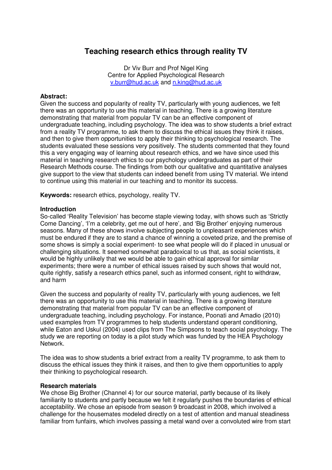# **Teaching research ethics through reality TV**

Dr Viv Burr and Prof Nigel King Centre for Applied Psychological Research v.burr@hud.ac.uk and n.king@hud.ac.uk

#### **Abstract:**

Given the success and popularity of reality TV, particularly with young audiences, we felt there was an opportunity to use this material in teaching. There is a growing literature demonstrating that material from popular TV can be an effective component of undergraduate teaching, including psychology. The idea was to show students a brief extract from a reality TV programme, to ask them to discuss the ethical issues they think it raises, and then to give them opportunities to apply their thinking to psychological research. The students evaluated these sessions very positively. The students commented that they found this a very engaging way of learning about research ethics, and we have since used this material in teaching research ethics to our psychology undergraduates as part of their Research Methods course. The findings from both our qualitative and quantitative analyses give support to the view that students can indeed benefit from using TV material. We intend to continue using this material in our teaching and to monitor its success.

**Keywords:** research ethics, psychology, reality TV.

### **Introduction**

So-called 'Reality Television' has become staple viewing today, with shows such as 'Strictly Come Dancing', 'I'm a celebrity, get me out of here', and 'Big Brother' enjoying numerous seasons. Many of these shows involve subjecting people to unpleasant experiences which must be endured if they are to stand a chance of winning a coveted prize, and the premise of some shows is simply a social experiment- to see what people will do if placed in unusual or challenging situations. It seemed somewhat paradoxical to us that, as social scientists, it would be highly unlikely that we would be able to gain ethical approval for similar experiments; there were a number of ethical issues raised by such shows that would not, quite rightly, satisfy a research ethics panel, such as informed consent, right to withdraw, and harm

Given the success and popularity of reality TV, particularly with young audiences, we felt there was an opportunity to use this material in teaching. There is a growing literature demonstrating that material from popular TV can be an effective component of undergraduate teaching, including psychology. For instance, Poonati and Amadio (2010) used examples from TV programmes to help students understand operant conditioning, while Eaton and Uskul (2004) used clips from The Simpsons to teach social psychology. The study we are reporting on today is a pilot study which was funded by the HEA Psychology Network.

The idea was to show students a brief extract from a reality TV programme, to ask them to discuss the ethical issues they think it raises, and then to give them opportunities to apply their thinking to psychological research.

#### **Research materials**

We chose Big Brother (Channel 4) for our source material, partly because of its likely familiarity to students and partly because we felt it regularly pushes the boundaries of ethical acceptability. We chose an episode from season 9 broadcast in 2008, which involved a challenge for the housemates modeled directly on a test of attention and manual steadiness familiar from funfairs, which involves passing a metal wand over a convoluted wire from start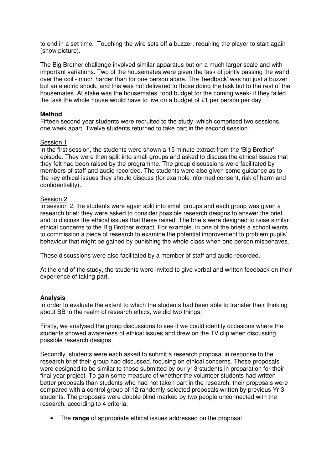to end in a set time. Touching the wire sets off a buzzer, requiring the player to start again (show picture).

The Big Brother challenge involved similar apparatus but on a much larger scale and with important variations. Two of the housemates were given the task of jointly passing the wand over the coil - much harder than for one person alone. The 'feedback' was not just a buzzer but an electric shock, and this was not delivered to those doing the task but to the rest of the housemates. At stake was the housemates' food budget for the coming week- if they failed the task the whole house would have to live on a budget of £1 per person per day.

### **Method**

Fifteen second year students were recruited to the study, which comprised two sessions, one week apart. Twelve students returned to take part in the second session.

#### Session 1

In the first session, the students were shown a 15 minute extract from the 'Big Brother' episode. They were then split into small groups and asked to discuss the ethical issues that they felt had been raised by the programme. The group discussions were facilitated by members of staff and audio recorded. The students were also given some guidance as to the key ethical issues they should discuss (for example informed consent, risk of harm and confidentiality).

### Session 2

In session 2, the students were again split into small groups and each group was given a research brief; they were asked to consider possible research designs to answer the brief and to discuss the ethical issues that these raised. The briefs were designed to raise similar ethical concerns to the Big Brother extract. For example, in one of the briefs a school wants to commission a piece of research to examine the potential improvement to problem pupils' behaviour that might be gained by punishing the whole class when one person misbehaves.

These discussions were also facilitated by a member of staff and audio recorded.

At the end of the study, the students were invited to give verbal and written feedback on their experience of taking part.

#### **Analysis**

In order to evaluate the extent to which the students had been able to transfer their thinking about BB to the realm of research ethics, we did two things:

Firstly, we analysed the group discussions to see if we could identify occasions where the students showed awareness of ethical issues and drew on the TV clip when discussing possible research designs.

Secondly, students were each asked to submit a research proposal in response to the research brief their group had discussed, focusing on ethical concerns. These proposals were designed to be similar to those submitted by our yr 3 students in preparation for their final year project. To gain some measure of whether the volunteer students had written better proposals than students who had not taken part in the research, their proposals were compared with a control group of 12 randomly-selected proposals written by previous Yr 3 students. The proposals were double blind marked by two people unconnected with the research, according to 4 criteria:

• The **range** of appropriate ethical issues addressed on the proposal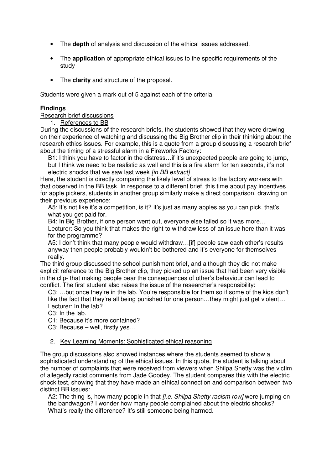- The **depth** of analysis and discussion of the ethical issues addressed.
- The **application** of appropriate ethical issues to the specific requirements of the study
- The **clarity** and structure of the proposal.

Students were given a mark out of 5 against each of the criteria.

# **Findings**

Research brief discussions

1. References to BB

During the discussions of the research briefs, the students showed that they were drawing on their experience of watching and discussing the Big Brother clip in their thinking about the research ethics issues. For example, this is a quote from a group discussing a research brief about the timing of a stressful alarm in a Fireworks Factory:

B1: I think you have to factor in the distress…if it's unexpected people are going to jump, but I think we need to be realistic as well and this is a fire alarm for ten seconds, it's not

electric shocks that we saw last week [in BB extract]

Here, the student is directly comparing the likely level of stress to the factory workers with that observed in the BB task. In response to a different brief, this time about pay incentives for apple pickers, students in another group similarly make a direct comparison, drawing on their previous experience:

A5: It's not like it's a competition, is it? It's just as many apples as you can pick, that's what you get paid for.

B4: In Big Brother, if one person went out, everyone else failed so it was more…

Lecturer: So you think that makes the right to withdraw less of an issue here than it was for the programme?

A5: I don't think that many people would withdraw…[if] people saw each other's results anyway then people probably wouldn't be bothered and it's everyone for themselves really.

The third group discussed the school punishment brief, and although they did not make explicit reference to the Big Brother clip, they picked up an issue that had been very visible in the clip- that making people bear the consequences of other's behaviour can lead to conflict. The first student also raises the issue of the researcher's responsibility:

C3: …but once they're in the lab. You're responsible for them so if some of the kids don't like the fact that they're all being punished for one person…they might just get violent… Lecturer: In the lab?

C3: In the lab.

C1: Because it's more contained?

C3: Because – well, firstly yes…

#### 2. Key Learning Moments: Sophisticated ethical reasoning

The group discussions also showed instances where the students seemed to show a sophisticated understanding of the ethical issues. In this quote, the student is talking about the number of complaints that were received from viewers when Shilpa Shetty was the victim of allegedly racist comments from Jade Goodey. The student compares this with the electric shock test, showing that they have made an ethical connection and comparison between two distinct BB issues:

A2: The thing is, how many people in that *fi.e. Shilpa Shetty racism row]* were jumping on the bandwagon? I wonder how many people complained about the electric shocks? What's really the difference? It's still someone being harmed.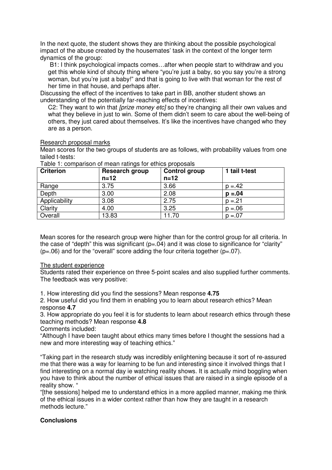In the next quote, the student shows they are thinking about the possible psychological impact of the abuse created by the housemates' task in the context of the longer term dynamics of the group:

 B1: I think psychological impacts comes…after when people start to withdraw and you get this whole kind of shouty thing where "you're just a baby, so you say you're a strong woman, but you're just a baby!" and that is going to live with that woman for the rest of her time in that house, and perhaps after.

Discussing the effect of the incentives to take part in BB, another student shows an understanding of the potentially far-reaching effects of incentives:

C2: They want to win that *[prize money etc]* so they're changing all their own values and what they believe in just to win. Some of them didn't seem to care about the well-being of others, they just cared about themselves. It's like the incentives have changed who they are as a person.

### Research proposal marks

Mean scores for the two groups of students are as follows, with probability values from one tailed t-tests:

| <b>Criterion</b> | Research group<br>$n=12$ | <b>Control group</b><br>$n=12$ | 1 tail t-test |
|------------------|--------------------------|--------------------------------|---------------|
| Range            | 3.75                     | 3.66                           | $p = 42$      |
| Depth            | 3.00                     | 2.08                           | $p = 0.04$    |
| Applicability    | 3.08                     | 2.75                           | $p = 21$      |
| Clarity          | 4.00                     | 3.25                           | $p = 0.06$    |
| Overall          | 13.83                    | 11.70                          | $p = 0.07$    |

Table 1: comparison of mean ratings for ethics proposals

Mean scores for the research group were higher than for the control group for all criteria. In the case of "depth" this was significant  $(p=.04)$  and it was close to significance for "clarity"  $(p=06)$  and for the "overall" score adding the four criteria together  $(p=07)$ .

# The student experience

Students rated their experience on three 5-point scales and also supplied further comments. The feedback was very positive:

1. How interesting did you find the sessions? Mean response **4.75** 

2. How useful did you find them in enabling you to learn about research ethics? Mean response **4.7** 

3. How appropriate do you feel it is for students to learn about research ethics through these teaching methods? Mean response **4.8** 

Comments included:

"Although I have been taught about ethics many times before I thought the sessions had a new and more interesting way of teaching ethics."

"Taking part in the research study was incredibly enlightening because it sort of re-assured me that there was a way for learning to be fun and interesting since it involved things that I find interesting on a normal day ie watching reality shows. It is actually mind boggling when you have to think about the number of ethical issues that are raised in a single episode of a reality show. "

"[the sessions] helped me to understand ethics in a more applied manner, making me think of the ethical issues in a wider context rather than how they are taught in a research methods lecture."

# **Conclusions**